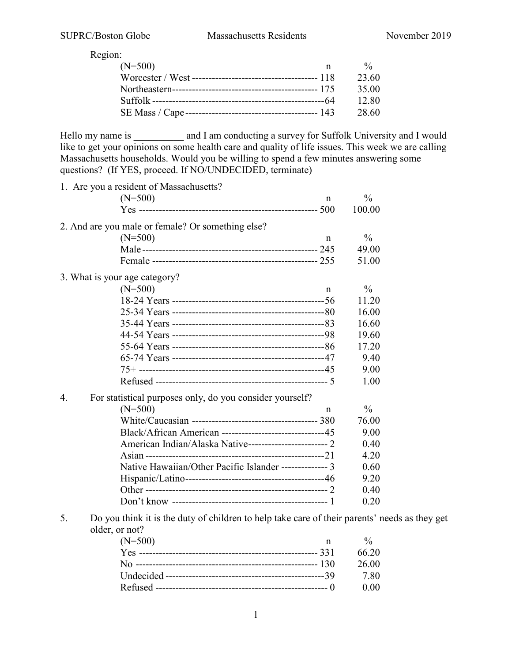Region:

| $(N=500)$ | n | 0/2   |
|-----------|---|-------|
|           |   | 23.60 |
|           |   | 35.00 |
|           |   | 12.80 |
|           |   | 28.60 |
|           |   |       |

Hello my name is \_\_\_\_\_\_\_\_\_ and I am conducting a survey for Suffolk University and I would like to get your opinions on some health care and quality of life issues. This week we are calling Massachusetts households. Would you be willing to spend a few minutes answering some questions? (If YES, proceed. If NO/UNDECIDED, terminate)

|    | 1. Are you a resident of Massachusetts?                                                                         |               |  |
|----|-----------------------------------------------------------------------------------------------------------------|---------------|--|
|    | $(N=500)$<br>n                                                                                                  | $\frac{0}{0}$ |  |
|    |                                                                                                                 | 100.00        |  |
|    | 2. And are you male or female? Or something else?                                                               |               |  |
|    | $(N=500)$<br>$\mathsf{n}$                                                                                       | $\frac{0}{0}$ |  |
|    |                                                                                                                 | 49.00         |  |
|    |                                                                                                                 | 51.00         |  |
|    | 3. What is your age category?                                                                                   |               |  |
|    | $(N=500)$<br>n                                                                                                  | $\frac{0}{0}$ |  |
|    |                                                                                                                 | 11.20         |  |
|    |                                                                                                                 | 16.00         |  |
|    |                                                                                                                 | 16.60         |  |
|    |                                                                                                                 | 19.60         |  |
|    |                                                                                                                 | 17.20         |  |
|    |                                                                                                                 | 9.40          |  |
|    |                                                                                                                 | 9.00          |  |
|    |                                                                                                                 | 1.00          |  |
| 4. | For statistical purposes only, do you consider yourself?                                                        |               |  |
|    | $(N=500)$<br>$\mathsf{n}$                                                                                       | $\frac{0}{0}$ |  |
|    |                                                                                                                 | 76.00         |  |
|    | Black/African American -------------------------------45                                                        | 9.00          |  |
|    | American Indian/Alaska Native----------------------------- 2                                                    | 0.40          |  |
|    |                                                                                                                 | 4.20          |  |
|    | Native Hawaiian/Other Pacific Islander -------------- 3                                                         | 0.60          |  |
|    |                                                                                                                 | 9.20          |  |
|    |                                                                                                                 | 0.40          |  |
|    |                                                                                                                 | 0.20          |  |
| 5. | Do you think it is the duty of children to help take care of their parents' needs as they get<br>older, or not? |               |  |

| ,,,,,,,,  |   |               |
|-----------|---|---------------|
| $(N=500)$ | n | $\frac{0}{6}$ |
|           |   | 66.20         |
|           |   | 26.00         |
|           |   | 7.80          |
|           |   | 0.00          |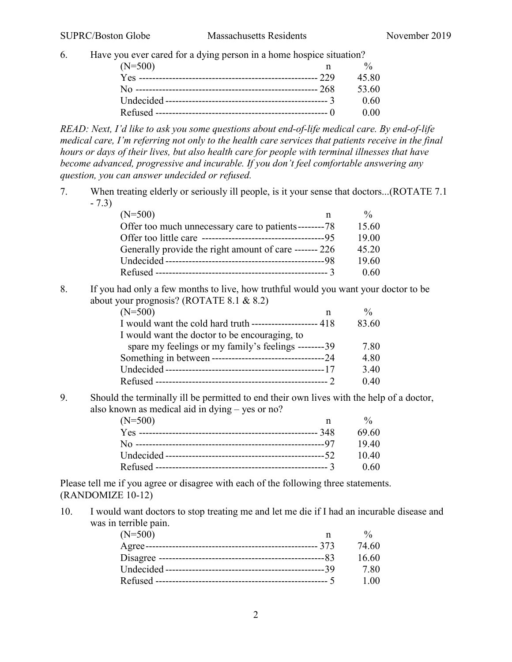6. Have you ever cared for a dying person in a home hospice situation?

| $(N=500)$ | 0/2     |
|-----------|---------|
|           | 45.80   |
|           | - 53.60 |
|           | - 0.60  |
|           | 0.00    |

*READ: Next, I'd like to ask you some questions about end-of-life medical care. By end-of-life medical care, I'm referring not only to the health care services that patients receive in the final hours or days of their lives, but also health care for people with terminal illnesses that have become advanced, progressive and incurable. If you don't feel comfortable answering any question, you can answer undecided or refused.*

7. When treating elderly or seriously ill people, is it your sense that doctors...(ROTATE 7.1 - 7.3)

| $(N=500)$                                              | $\frac{0}{0}$ |
|--------------------------------------------------------|---------------|
| Offer too much unnecessary care to patients--------78  | 15.60         |
|                                                        | 19.00         |
| Generally provide the right amount of care ------- 226 | 45.20         |
|                                                        | 19.60         |
|                                                        | 0.60          |

8. If you had only a few months to live, how truthful would you want your doctor to be about your prognosis? (ROTATE 8.1 & 8.2)

| $(N=500)$                                                | $\frac{0}{0}$ |
|----------------------------------------------------------|---------------|
| I would want the cold hard truth ------------------- 418 | 83.60         |
| I would want the doctor to be encouraging, to            |               |
| spare my feelings or my family's feelings --------39     | 7.80          |
|                                                          | 4.80          |
|                                                          | 3.40          |
|                                                          | 0.40          |
|                                                          |               |

9. Should the terminally ill be permitted to end their own lives with the help of a doctor, also known as medical aid in dying – yes or no?

| $(N=500)$ | n | 0/2    |
|-----------|---|--------|
|           |   | -69.60 |
|           |   | 1940   |
|           |   | -10.40 |
|           |   | - 0.60 |

Please tell me if you agree or disagree with each of the following three statements. (RANDOMIZE 10-12)

10. I would want doctors to stop treating me and let me die if I had an incurable disease and was in terrible pain.

| $(N=500)$ |       |
|-----------|-------|
|           | 74.60 |
|           | 16.60 |
|           | 7.80  |
|           | 1.00  |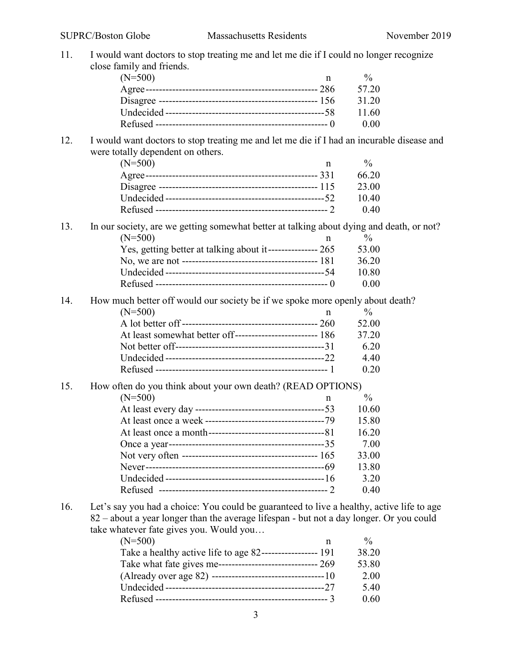11. I would want doctors to stop treating me and let me die if I could no longer recognize close family and friends.

| $(N=500)$ | $\frac{0}{0}$ |
|-----------|---------------|
|           | 57.20         |
|           | 31.20         |
|           | 11.60         |
|           | 0.00          |

## 12. I would want doctors to stop treating me and let me die if I had an incurable disease and were totally dependent on others.

| $(N=500)$ |       |
|-----------|-------|
|           | 66.20 |
|           | 23.00 |
|           | 10.40 |
|           | 0.40  |

13. In our society, are we getting somewhat better at talking about dying and death, or not?  $(N=500)$  n %

| Yes, getting better at talking about it---------------- 265 | 53.00  |
|-------------------------------------------------------------|--------|
|                                                             | 36.20  |
|                                                             | -10.80 |
|                                                             | - 0.00 |

14. How much better off would our society be if we spoke more openly about death?

| $(N=500)$ | 0/2   |
|-----------|-------|
|           | 52.00 |
|           | 37.20 |
|           | 6.20  |
|           | 4.40  |
|           | 0.20  |

#### 15. How often do you think about your own death? (READ OPTIONS)

| $(N=500)$ | n | $\frac{0}{0}$ |
|-----------|---|---------------|
|           |   | 10.60         |
|           |   | 15.80         |
|           |   | 16.20         |
|           |   | 7.00          |
|           |   | 33.00         |
|           |   | 13.80         |
|           |   | 3.20          |
|           |   | 0.40          |
|           |   |               |

16. Let's say you had a choice: You could be guaranteed to live a healthy, active life to age 82 – about a year longer than the average lifespan - but not a day longer. Or you could take whatever fate gives you. Would you…

| $(N=500)$                                                   | $\frac{0}{0}$ |
|-------------------------------------------------------------|---------------|
| Take a healthy active life to age 82------------------- 191 | 38.20         |
| Take what fate gives me------------------------------ 269   | 53.80         |
|                                                             | 2.00          |
|                                                             | 5.40          |
|                                                             | 0.60          |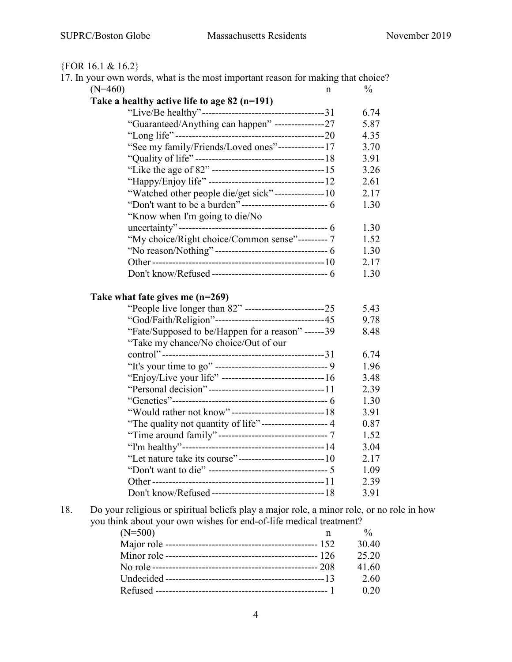# {FOR 16.1 & 16.2}

|           | 17. In your own words, what is the most important reason for making that choice? |   |               |
|-----------|----------------------------------------------------------------------------------|---|---------------|
| $(N=460)$ |                                                                                  | n | $\frac{0}{0}$ |
|           | Take a healthy active life to age $82$ (n=191)                                   |   |               |
|           |                                                                                  |   | 6.74          |
|           | "Guaranteed/Anything can happen" ---------------27                               |   | 5.87          |
|           |                                                                                  |   | 4.35          |
|           | "See my family/Friends/Loved ones"--------------17                               |   | 3.70          |
|           |                                                                                  |   | 3.91          |
|           |                                                                                  |   | 3.26          |
|           |                                                                                  |   | 2.61          |
|           | "Watched other people die/get sick"---------------10                             |   | 2.17          |
|           | "Don't want to be a burden" --------------------------- 6                        |   | 1.30          |
|           | "Know when I'm going to die/No                                                   |   |               |
|           |                                                                                  |   | 1.30          |
|           | "My choice/Right choice/Common sense"---------7                                  |   | 1.52          |
|           |                                                                                  |   | 1.30          |
|           |                                                                                  |   | 2.17          |
|           |                                                                                  |   | 1.30          |
|           |                                                                                  |   |               |
|           | Take what fate gives me $(n=269)$                                                |   |               |
|           | "People live longer than 82" ----------------------------25                      |   | 5.43          |
|           | "God/Faith/Religion"--------------------------------45                           |   | 9.78          |
|           | "Fate/Supposed to be/Happen for a reason" ------39                               |   | 8.48          |
|           | "Take my chance/No choice/Out of our                                             |   |               |
|           |                                                                                  |   | 6.74          |
|           |                                                                                  |   | 1.96          |
|           | "Enjoy/Live your life" ---------------------------------16                       |   | 3.48          |
|           |                                                                                  |   | 2.39          |
|           |                                                                                  |   | 1.30          |
|           | "Would rather not know"---------------------------------18                       |   | 3.91          |
|           | "The quality not quantity of life"-------------------- 4                         |   | 0.87          |
|           | "Time around family"----------------------------------7                          |   | 1.52          |
|           |                                                                                  |   | 3.04          |
|           | "Let nature take its course"-----------------------------10                      |   | 2.17          |
|           |                                                                                  |   | 1.09          |
|           |                                                                                  |   | 2.39          |
|           |                                                                                  |   | 3.91          |
|           |                                                                                  |   |               |

18. Do your religious or spiritual beliefs play a major role, a minor role, or no role in how you think about your own wishes for end-of-life medical treatment?

| $(N=500)$ | $\frac{0}{0}$ |
|-----------|---------------|
|           | 30.40         |
|           | 25.20         |
|           | 41.60         |
|           | 2.60          |
|           | 0.20          |
|           |               |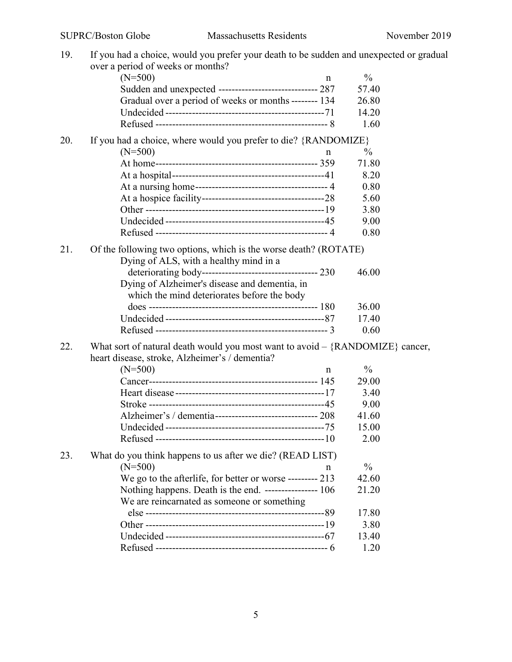| 19. | If you had a choice, would you prefer your death to be sudden and unexpected or gradual |               |
|-----|-----------------------------------------------------------------------------------------|---------------|
|     | over a period of weeks or months?                                                       |               |
|     | $(N=500)$<br>n                                                                          | $\%$          |
|     | Sudden and unexpected ----------------------------- 287                                 | 57.40         |
|     | Gradual over a period of weeks or months -------- 134                                   | 26.80         |
|     |                                                                                         | 14.20         |
|     |                                                                                         | 1.60          |
| 20. | If you had a choice, where would you prefer to die? {RANDOMIZE}                         |               |
|     | $(N=500)$<br>n                                                                          | $\%$          |
|     |                                                                                         | 71.80         |
|     |                                                                                         | 8.20          |
|     |                                                                                         | 0.80          |
|     |                                                                                         | 5.60          |
|     |                                                                                         | 3.80          |
|     |                                                                                         | 9.00          |
|     |                                                                                         | 0.80          |
|     |                                                                                         |               |
| 21. | Of the following two options, which is the worse death? (ROTATE)                        |               |
|     | Dying of ALS, with a healthy mind in a                                                  |               |
|     |                                                                                         | 46.00         |
|     | Dying of Alzheimer's disease and dementia, in                                           |               |
|     | which the mind deteriorates before the body                                             |               |
|     |                                                                                         | 36.00         |
|     |                                                                                         | 17.40<br>0.60 |
|     |                                                                                         |               |
| 22. | What sort of natural death would you most want to avoid $-$ {RANDOMIZE} cancer,         |               |
|     | heart disease, stroke, Alzheimer's / dementia?                                          |               |
|     | $(N=500)$<br>n                                                                          | $\frac{0}{0}$ |
|     |                                                                                         | 29.00         |
|     |                                                                                         | 3.40          |
|     |                                                                                         | 9.00          |
|     | Alzheimer's / dementia-------------------------------- 208                              | 41.60         |
|     |                                                                                         | 15.00         |
|     |                                                                                         | 2.00          |
| 23. | What do you think happens to us after we die? (READ LIST)                               |               |
|     | $(N=500)$<br>n                                                                          | $\%$          |
|     | We go to the afterlife, for better or worse --------- 213                               | 42.60         |
|     | Nothing happens. Death is the end. ----------------- 106                                | 21.20         |
|     | We are reincarnated as someone or something                                             |               |
|     |                                                                                         | 17.80         |
|     |                                                                                         | 3.80          |
|     |                                                                                         | 13.40         |
|     |                                                                                         | 1.20          |
|     |                                                                                         |               |